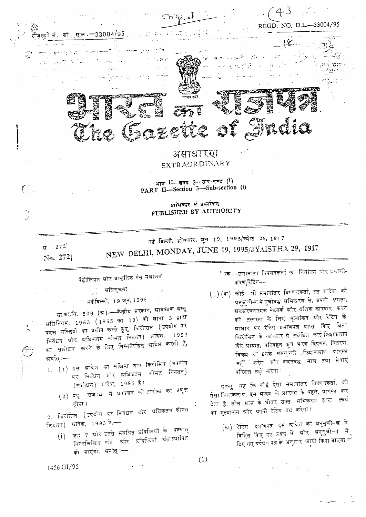

. भाग II-खण्ड 3-उप-खण्ड (i) PART II-Section 3-Sub-section (i)

> प्राधिकार से प्रकाशित PUBLISHED BY AUTHORITY

> > $(1)$

नई दिल्ली, सोव्रवार, जून 19, 1995/च्येष्ठ 29, 1917 NEW DELHI, MONDAY, JUNE 19, 1995/JYAISTHA 29, 1917 सं. 272 No. 2721

पैट्रोलियम श्रीर प्राकृतिक गैस मंत्रालय

्र**्र प्रविसूचना** 

ं नई दिल्ली, 19 जून,1995

सा.का.नि. 509 (ग्र).—केन्द्रीय सरकार, ग्रावश्यक वस्तु अधिनियम, 1955 (1955 का 10) को घारा 3 ढारा प्रदत्त शक्तियों का प्रयोग करते हुए, किरोसिन (उपयोग पर निर्वधन ग्रौर ग्रधिकतम कौमत नियतन) ग्रादेश, 1993 का संशोधन करने के लिए निम्नलिखित ग्रादेश करती है, ग्रर्यात् ∶—

- $1.$   $(1)$  इस ब्रादेण का संक्षिप्त नाम किरोसिन (उपयोग पर निर्बधन और अविकतम कीमत नियतन) (संशोधन) स्रादेश, 1995 है।
	- (2) यह राजन्व में प्रकाशन को तारीख को प्रवृत्त होगा ।

2. किरोसिन (उपयोग पर निबंधन स्रोर स्रघिकतम कीमत नियतन) श्रादेश, 1993 में,—

(i) खंड 7 ग्रौर उससे संबंधित प्रविष्टियों के पश्चात् निम्नलिखित खंड भ्रौर प्रविष्टियां अंतःस्यापित की जाएंगी, श्रयति्ः—

'' 7क—समानांतर विपणनकर्ता का निर्घारण और प्रमाणी-करण/रेटिंग-

 $\left(\ 1\right)\left(\mathfrak{m}\right)$  कोई भी समानांतर विपणनकर्ता, इस स्रादेश को ग्रनुसूची-क में सूचीवड ग्रभिकरण से, ग्रपती समता, ्र<br>अवसंरचनात्मक नेटवर्क श्रीर वृत्तिक कारदार करने की तत्परता के लिए मूर्त्याकन और रेटिंग के ग्राघार पर रेटिंग प्रमाणपत्न प्राप्त किए विना किरोसिन के कारबार से संबंधित कोई क्रियाकलाप जैसे आयात, परिवहन कूच भरण विपणन, वितरण, विकय या इसके समनुवंगी क्रियाकलाप प्रारम्भ नहीं करेगा ग्रौर वचनबद्ध माल तया सेवाएं परिदत्त नहीं करेगा :

परन्तु यह कि कोई ऐसा समानांतर विपणनकर्ता, जो ऐसा कियाकलाप, इस ग्रादेश के प्रारम्भ के पहले, प्रारम्भ कर देता है, तीन मास के भीतर उक्त प्रभिकरण द्वारा स्वयं का मूल्यांकन श्रौर ग्रपनी रेटिंग तय करेगा।

(ख) रेटिंग प्रमाणपत्न इस ग्रादेश को अनुसूची–ख में विहित किए गए प्रहृप में श्रीर श्रनुसूची–ग में दिए गए य्रग्रेषण पत्न के अनुसार जारी किया जाएगा <sup>क्रि</sup>

1456 GI/95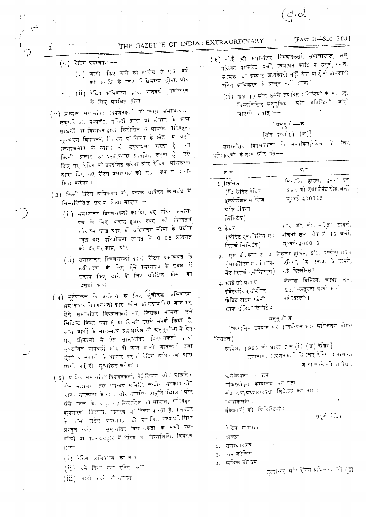THE GAZETTE OF INDIA: EXTRAORDINARY

- $(\pi)$  रेटिंग प्रमाणपत्र,-
	- (i ) जारी किए जाने की तारीख़ से एक वर्ष को म्रवधि के लिए विधिमान्य होगा, ग्र<mark>ौ</mark>र
	- (ii) रेटिंग स्रभिकरण द्वारा प्रतिवर्ष<sub>्</sub>नवीकरण के लिए अपेक्षित होगा।
- (2) प्रत्येक समानांतर विपणनकर्ता जो किसी समाचारपत्र, लघुपत्निका, पम्प्लैट, पचियों द्वारा या संचार के ग्रन्य साधनों या दिज्ञापन द्वारा किरोसिन के स्रायात, परिवहन, क्ष्मरण विषणनप, वितरण या विकय के क्षेत्र में ग्रपने क्रियाकलाप के व्यौरों की उद्घोषणा करता है  $\pi$ किसी प्रकार को प्रस्थापताएं स्रामंत्रित करता है, उसे दिए गए रेटिंग को उपदर्शित करेगा ग्रीर रेटिंग अभिकरण द्वारा दिए गए रेटिंग प्रमाणपत्र को सहज रूप से प्रका-शित करेगा ।
- (3) किसी रेटिंग स्रमिकरण को, प्रत्येक स्रावेदन के संबंध में निम्नलिखित संदाय किया जाएगा,--
	- $(\mathrm{i}^{\,})$  समानांतर विपणनकर्ता को दिए गए रेटिंग प्रमाण-पत्र के लिए, पचास हबार रुपए को निम्नतम ग्रीर दस लाख रुपए की स्रधिकतम सीमा के स्रधीन रहते हुए परियोजना लागत के 0.05 प्रतिशत की दरपरफोस, ग्रौर
	- $(\mathrm{ii})$  समानांतर विपणतकर्ता द्वारा रेटिंग प्रमाणपत्न के नवीकरण के लिए ऐसे प्रमाणपत्न के संबंध में संदाय किए जाने के लिए प्रपेक्षित फीस का दसवां भाग।
- (4) मूल्यांकन के प्रयोजन के लिए सूचीवद्ध स्रभिकरण, समातांतर विपणनकर्ता द्वारा फोस का संदाय किए जाने पर, ऐसे समानांतर विपणनकर्ता का, जिसका मामला उसे निर्दिष्ट किया गया है या जिसने उससे संपर्क किया है, ग्रन्य वातों के साय-साय इस अदिण की ग्रनुमूची-घ में दिए गए प्रोफार्मा में ऐसे सामानांतर विपणनकर्ता द्वारा उपदर्शित मापदंडों स्रोर दी जाने वाली जानकारी तया ऐसी जानकारी के आधार पर जो रेटिंग अभिकरण इारा मांगी गई हो, मूत्यांकन करेग( ।
- गैस मंत्रालय, तेल समन्वय समिति, केन्द्रोय सरकार स्रौर राज्य सरकारों के खाद्य ग्रौर नागरिक ग्रापूर्ति मंत्रालय ग्रौर ऐसे जिले के, जहां वह किरोसिन का स्रायात, परिवहन, कूपभरण विषुणत, वितरण या विकय करता है, कलेक्टर के पास रेटिंग प्रमाणपत्न की प्रमाणित सत्यंप्रतिलिपि प्रस्तुत करेगा। समानांतर विपणनकर्ता के सभी पत्र-र्णाषों या पत्र-व्यवहार में रेटिंग का निम्नलिखित विवरण होगा :
	- $(i)$  रेटिंग अभिकरण का नाम,
	- $(ij)$  उसे दिया गया रेटिंग, स्रोर
	- (iii) जारी करने की तारीख
- ( 6) कोई भी समानांतर विपणनकर्ता, समाचारपत्न, लघु पविका पम्फलेट, पर्ची, विज्ञापन म्रादि में ग्रपूर्ण, गलत, <u>श्रामक : या ग्रस्पष्ट जानकारी नहीं देगा याएँ सीजानकारी</u> रेटिंग ग्रभिकरण मे प्रस्तुत नहीं करेगा",
	- (ii) खंड 12 ग्रॉर उससे संबंधित प्रविस्टियों के पश्चात्, निम्तलिखित प्रतृतूचियां स्रोर प्रवितिष्ठयां जोड़ी जाएंगी, अर्थात् :--

र्बिड 7क
$$
(1)
$$
 (क)

समानांतर विपणनकर्ता के मूल्यांकन/रेटिंग के लिए म्रभिकरणों के नाम श्रौर पते−–

| नाम                        | पता                                                       |
|----------------------------|-----------------------------------------------------------|
| 1. क्रिसिल                 | निरलॉन हाउस, दूसरा तल,                                    |
| (दि केडिट रेटिंग           | $_{2.5.4}$ , तो, एन्ना बैसेंट रोड, वर्ली, $\left(\right.$ |
| इन्फोर्मेशन संविसेज        | म्चई-400025                                               |
| <mark>स्रॉफ इंडिया</mark>  |                                                           |
| लिमिटेड)                   |                                                           |
| 2. केवर                    | ग्रार, बो. सी., महिंद्रा  टावर्स,                         |
| (क्रेडिट एनातिसिस एंड      | पांचवां तत्त, रोड सं. 13, वर्लो,                          |
| रिसर्च लिनिटेड)            | स्म्बई-400018                                             |
| 3.   एम. डी. म्रार. ए.   4 | सेकुलर हाउंस, 9/1, इंस्टीट्यूशतल                          |
| (मार्कोटिन एंड डेबलप-      | एरिया, जि. एन.यू. के सामने,                               |
| मेंट रिसर्च एसोसिएएस)      | नई दिल्ली-67                                              |
| 4. म्राई सी म्रार ए        | कैलाश विल्डिंग, चौथा तत्त,                                |
| इंवेस्टमेंट इंफोर्मेंशन    | 26, कस्तूरवा गांधी मार्ग,                                 |
| क्रेडिट रेटिंग एजेंसी      | नई दिल्ली-1                                               |
| श्राफ इंडिया लिमिटेड       |                                                           |
|                            | ग्रनुवूदी-ब                                               |
|                            | [किरोसिन उपयोग पर (निर्वन्धन स्रोर स्रधिकतम कोमत          |
| नियतन)                     |                                                           |
|                            | स्रादेण, 1993 को धारा 7क (İ) (ख) देखिए]                   |
|                            | समानांतर विपणनकर्ता के लिए रेटिंग -प्रमाणपत्न             |
|                            | जारो करने को तारीख़ :                                     |
| फर्म/कंपनी का नाम :        |                                                           |
|                            | रणिस्ट्रीकृत कार्यालय का पताः                             |
|                            | संप्रवर्तक/स्रघ्यक्ष/प्रवंध निदेशक का नाम $\colon$        |
| क्तिद्याकलाप :             |                                                           |
| बैंककारों को विशिष्टियां : |                                                           |
|                            | संदर्ण रेडिंग                                             |
| रेटिंग मापमान              |                                                           |
| ग्रस्छा<br>1.              |                                                           |
| समाधानप्रद<br>2.           |                                                           |
| कम जोखिम<br>3.             |                                                           |
| स्रविक जोखिम<br>4.         |                                                           |
|                            | हस्ताक्षर, स्रौर देटिंग समिकरण की मुद्रा                  |

[PART II-SEC.  $3(i)$ ]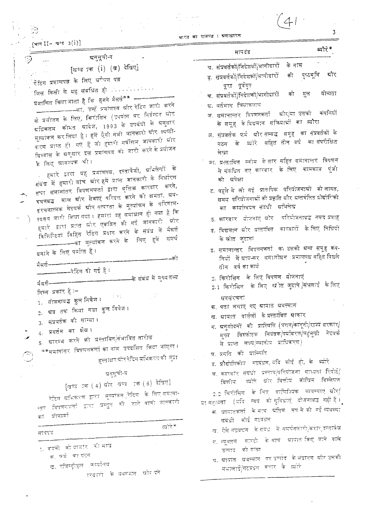(भाग II- मण्ड 3(1)]

भारत का राजपत्न : म्रसाधारण

ब्योरे\* मापटंड ग्रनुसूची-ग घ. संप्रवर्तकों/निदेशकों/भागीदारों के नाम [खण्ड 7क (i) (ख) देखिए] पुष्ठभूमि श्रोर ड. संप्रदर्तकों/निदेशकों/भागीदारों की .<br>रेटिंग प्रमाणपत्न के लिए ग्र<sup>क्ते</sup>षण पत्न पूरा पूर्ववृत जिस किसी से यह संबंधित हो स्वास्था स्वास्था च. संप्रवर्तकों/निदेशकों/भागीदारों योग्यता की मूल प्रमाणित किया जाता है कि हमने मैसर्स<sup>\*\*</sup> ——— ——————का, उन्हें प्रमाणपत्न ग्रौर रेटिंग जारी करने छ. वर्तमान क्लिकलाप के प्रयोजन के लिए, किरोसिन (उपयोग पर निर्वन्धत और ज. समानान्तर विपणनकर्ता श्रौर/या उसकी कंपनियों के समूह केविद्यमान संकियाओं का ब्यौरा स्रधिकतम कीमत स्रादेश, 1993 के उपबंधों के सनुसार मूल्यांकन कर लिया है । हमें ऐसी नभी जानकारी ग्रीर स्पष्टी-झ. संप्रवर्तक फर्म औरंसम्बद्ध समूह का संप्रवर्तकों के करण प्राप्त हो। गए हैं जो हमारी सर्वोत्तम जानकारी श्रीर के ब्वीरे सहित तीन वर्ष का-संपरीक्षित गठन वित्त्वास के ग्रनुसार इस प्रमाणपत्न को जारी करने के प्रयोजन लेखा ञा. प्रस्तावित स्कोम केसार सहित समानास्तर विषणन के लिए ग्रावस्थक थी। . हमारे डारा यह प्रमाणपत्न, दस्तावेजों, अभिलेखों के से संबंधित नए कारवार के लिए कामकाज पूंजी संबंध में हमारी जांच आंर हमें प्राप्त जानकारी के निर्धारण की न्नपेक्षा तथा समानांतर विपणनकर्ता द्वारा वृत्तिक कारवार करने, ट. पहले ने लो गई प्रारुषिक परियोजनाओं को लागत, वचनवद्ध माल और सेवाएं परिदत्त करने की क्षमता, ग्रव-समय, परियोजनाओं की प्रकृति और अन्तर्वलित प्रौद्योगिको प्रंरचनात्मक नेटवर्क स्रौर तत्परता के मूल्यांकन के परिणाम-का कार्यान्दयन संदंधी श्रभिलेख स्वरूप जारी किया गया । हमारा यह समाधान हो गया है कि ठ, कारवार चोजनाएं श्रीर । परियोजनावद्ध नकदं प्रवाह हमारे द्वारा प्राप्त स्रौर एकदित की गई जानकारी और ड. विद्यमान और प्रस्तावित कारवारों के लिए निधियों विशिरिटयां विहित रेटिंग प्रदान करने के संबंध में मैसर्स ——————का मूल्यांकन करने के लिए हमें समर्थ के स्रोत जुटाना ड. समानान्तर वित्रणनकर्ता का उसको स्रन्य समूह कंप-वनाने के लिए पर्याप्त हैं। नियों में स्रायन्कर 'समाशोधन' प्रमाणपत्न सहित पिछले नैसर्स---------तीन वर्षकाकार्य ———–-देटिंग दी गई है । 2. किरोसिन के लिए विपणन योजनाएं –——के संबंध में मुख्यतथ्य मैससं——— 2.1 किरोसिन के लिए स्रोत जुटाने |संभलाई के लिए निस्त प्रकार हैं :-ः<br>1. योजनावद्य कुल निवेण । 이번 사이 स्रदसरचनाः क, पता लगाए गए ग्रायात ग्रवस्यान 2. श्रद तक किया गया कुल नियेश। ख, स्रायात, पार्त्तलों, के प्रस्तावित स्राकार 3. सप्रवर्तक की साम्या। ग. स्रनुसोदनों की प्रास्थिति (पत्तन/कानूनी/राज्य सरकार/ 4. प्रवर्तन का क्षेत्र । मुख्य विस्फोटक नियंत्रक/पर्यावरण/चट्टसुखो नेटंवर्क 5. स्नारम्भ करने की प्रस्तावित/संभावित तारोख से प्राप्त लक्ष्य/स्थानीय प्राधिकरण) \*\*समानांतर विपणनकर्ता का नाम .उपदशित किया जाएगा । घ प्रगति की प्रास्पिति हस्ताक्षरश्रीर रेटिंग सभिकरणको मुद्रा ड, प्रौद्योगिकोय मठबंधन, यदि कोई हो, के ब्योरे च. कारवार संबंधी प्रत्याव/परियोजना साध्यता रिपोर्ट/ बनुमूर्चा-व वित्तीय व्यक्ति द्यौर वित्तीय जोखिम विश्लेषण [खण्ड 7क (4) ग्रीर खण्ड 7क (6) देखिए] 2.2 किरोप्तित के लिए दाणिज्यिक व्यवस्याएं श्रीर/ रेटिंग स्रभिकरण द्वारा 'मूल्यांकत रिटिंग के लिए समाना-या महायता (यदि स्वयं को मुविधाएँ योजनावद्ध नहीं हैं। स्तर विपणनकर्ता द्वारा प्रस्तुत की जाने वाली कानकारी क, ग्रायातकर्ता केन्नाय अंतिम - रूप से की गई व्यवस्था। का प्रोफार्मा संबंधी कोई गटबंधन त्वीरे\* ख. ऐसे गठवधन - के संबंध - में समर्थनकारी/करार/दस्तावेज मापदड ग, स्यूनतम -गारंटी -के साथ - ग्रायात किए जाने -वाले 1. कंपनी की बाजार की साख उत्पाद को सांचा क्र. फर्म का गटन घ. स्रायातः स्रवस्थानः पर उत्पादः के भंडारण स्रौर उसकी ख, रजिस्ट्रीकृत -कार्यालय संभालाई/गटवधन करार के व्यक्ति ारबारों के ब्रक्सान और फो

3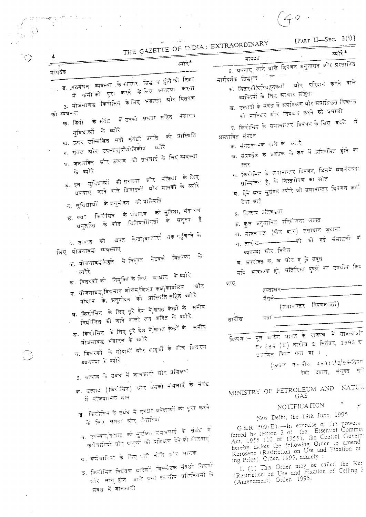$(40.1)$  $\epsilon$ 

GAZETTE OF INDIA: EXTRAORDINARY [PART II-SEC. 3(i)]

 $\sqrt{2}$ 

 $\Delta \sim 1$ 

 $\mathcal{L}^{(1)}$  .  $\sim 10^7$ 

 $\mathcal{F}=\sum_{i=1}^n \mathcal{F}_i$ 

 $\mathcal{F}^{\pm}$ 

 $\sim$   $\sim$ 

 $\sim 10$ 

|                        | THE GALEITE                                                 |                                                                                         | ब्योरे*                               |
|------------------------|-------------------------------------------------------------|-----------------------------------------------------------------------------------------|---------------------------------------|
| $\circledcirc$         | 4<br>त्योरे"<br>يتهتب                                       | मापदंड                                                                                  |                                       |
|                        | मापदंड                                                      |                                                                                         |                                       |
|                        |                                                             | मार्गदर्शक सिद्धान्त प्राक्त गाम                                                        |                                       |
|                        | ्… ड्. गठबंधन  व्यवस्था  के कारगर  निद्ध  न  होने की  दिशा  | क. वितरकों/परिवहनकर्ता श्रोर परिदान करने वाले                                           |                                       |
|                        | में कमीको पूरा करने केलिए व्यवस्था करना                     | व्यक्तियों के लिए ग्रावार संहिता                                                        |                                       |
|                        | 3. योजनावद्ध किरोसिन केलिए भंडारण ग्रौर वितरण               | ख.  उत्पादों के संबंध में ग्रपमिश्रण श्रीर ग्रप्राधिकृत विचलन                           |                                       |
|                        | को ब्यवस्था                                                 | को मानिटर ग्रौर नियंत्रण करने की प्रणाली                                                |                                       |
|                        | क. डिपो के संदेध में उनकी क्षमता सहित भंडारण                |                                                                                         |                                       |
|                        |                                                             | 7. किरोतित के समानान्तर विपणन के लिए  वदले   में                                        |                                       |
|                        | सुविधाश्रों के व्यौरे                                       | प्रस्तावित संगठन                                                                        |                                       |
|                        | ख, ऊपर उल्लिखित मदों संबंधी प्रगति की प्रास्थिति            | क, संगठतात्मक ढांचे के व्यंग्रि                                                         |                                       |
|                        | ग. संयंत्र श्रोर उपस्कर/प्रौद्योगिकीय <sup>ट्योरे</sup>     | ख, संप्रबतंक के प्रदंधक के रूप में सम्मिलित होने का                                     |                                       |
|                        | घ. जनगतित  ग्रौर उत्पाद  की संभलाई के लिए व्यवस्था          |                                                                                         |                                       |
|                        | के व्यौरे                                                   | स्तर                                                                                    |                                       |
|                        |                                                             | ग. किरोतित के समानान्तर विपणन, जिसमें श्रवतोरत्तना                                      |                                       |
|                        | ड़ इन सुविधाओं की।संरचना ग्रौर संक्रिया के लिए              | सम्मिलित है, के वित्तपोषण का स्रोत                                                      |                                       |
|                        | स्रपनाए जाने वाले डिजाइनों ग्रौर मानकों के व्यौरे           | घ. ऐते स्रत्य मुसंगत व्यौरे जो समानालार विपणन कर्ता                                     |                                       |
|                        | च. सुविधाओं  के स्रनुमोदन   की प्रास्थिति                   | देना चाहे                                                                               |                                       |
|                        |                                                             |                                                                                         |                                       |
| $\frac{1}{2}$          | छ. क्या किरोसिन  के भंडारण  की सुविधा, भंडारण               | s. वित्तीय प्रतिवद्धता                                                                  |                                       |
|                        | ग्रनुजस्ति के कोड विनियमों/शतों के ग्रनुत्त्प है            | क. कुल ब्रतृमानित परियोजना लागत                                                         |                                       |
|                        |                                                             | ख. योजनावढ़ (फेज वार) संसाधान जुटाना                                                    |                                       |
|                        | 4. उत्पाद को  खपत  केन्द्रों/वाजारों  तक पहुंचाने के        | ग तारीख———————————को की गई संसाधनों क                                                   |                                       |
|                        | लिए योजनावड व्यवस्थाएं                                      | व्यदन्या ग्रौर निवेश                                                                    |                                       |
|                        | क, योजनाबद्ध/पहले  से नियुक्त  नेटदकं  वितरकों  के          | घ. उपरोक्त क, ख ग्रौर ग के सबूत                                                         |                                       |
|                        |                                                             | यदि म्रावज्यक हो, म्रतिरिक्त पृष्ठों का उपयोग किय                                       |                                       |
|                        | ∸ब्यौरे                                                     |                                                                                         |                                       |
|                        | ख, वितरकों की  नियुक्ति के लिए  आधार  के व्यौरे             | जाए                                                                                     |                                       |
|                        | ग. योजनावद्व/विद्यमान शोरूम/विक्रम कक्ष/कार्यालय । श्रौर    | ह्स्ताक्षर−                                                                             |                                       |
| $\omega_{\rm c} = 2.5$ | गोदान के, ग्रनुमोदत की प्रास्थिति सहित <sup>ं</sup> ब्योरे  | र्मसर्वे-                                                                               |                                       |
|                        | घ. किरोसिन  के लिए पूरे देश में/खपत केन्द्रों के  समीप      | (समानान्तर विपणनकर्ता)                                                                  |                                       |
|                        |                                                             | पता -                                                                                   |                                       |
|                        | नियोजित की जाने वालो जन शक्ति के ब्यौरे                     | तारीख                                                                                   |                                       |
|                        | ड. किरोसिन के लिए पूरे देश में/खपत केन्द्रों के - समीप      |                                                                                         |                                       |
|                        | योजनाबद्ध भंडारण के ब्यौरे                                  | टिष्पण :– मूल स्रादेश भारत के राजपत्र में सा०का०नि                                      |                                       |
|                        | च. वितरकों के गोदामों और ग्राहकों के वीच वितरण              | सं० ६८३ (स्र) तारीख 2 सितंबर, 1993 हो                                                   |                                       |
|                        |                                                             | प्रकासित किया गया था ।                                                                  |                                       |
|                        | व्यवस्ता के व्यौरे                                          | [फ़ाइल संबंधित 45011/2/95-विपक्ष                                                        |                                       |
|                        | 5. उत्पाद के संबंध में जानकारी श्रीर प्रशिक्षण              |                                                                                         | देवी दयाल, संयुक्त सर् <mark>द</mark> |
|                        |                                                             |                                                                                         |                                       |
|                        | क. उत्पाद (किरोसिन) स्नौर उसकी संभलाई के संबंध              | MINISTRY OF PETROLEUM AND NATUR                                                         |                                       |
|                        | में मुक्तियात्मक ज्ञान                                      | GAS                                                                                     |                                       |
|                        |                                                             | NOTIFICATION                                                                            |                                       |
|                        | ख. किरोसित के संबंध में सुरक्षा प्रपेक्षात्रों को पूरा करते | New Delhi, the 19th June, 1995                                                          |                                       |
|                        | के लिए क्षमता स्रौर तैयारियां                               |                                                                                         |                                       |
|                        | ग. उपस्कर/उत्पाद को मुरुआित संभभलाई के संबंध में            | G.S.R. 509(E).-In exercise of the powers<br>ferred by section 3 of the Essential Commo: |                                       |
|                        | कर्मचारियों और ग्राहकों को प्रशिक्षण देने की योजनाएं        | Act, 1955 (10 of 1955), the Central Govern                                              |                                       |
|                        |                                                             | hereby makes the following Order to amend                                               |                                       |
|                        | घ. कर्मचारियों के लिए भर्तो नीति और मानक                    | Kerosene (Restriction on Use and Fixation of                                            |                                       |
|                        |                                                             | ing Price). Order, 1993, namely :<br>1. (1) This Order may be called the Ker            |                                       |
|                        | ङ. किरोमिन नियंत्रण ग्रादेशों, विस्फोटक संबंधी नियमों       | (Restriction on Use and Fixation of Ceiling F                                           |                                       |
|                        | स्रौर लागू होने । वाले स्न्य स्थानीय स्रधिनियमों के         | (Amendment) Order, 1995.                                                                |                                       |
|                        | संबंध में जानकारी                                           |                                                                                         |                                       |
|                        |                                                             |                                                                                         |                                       |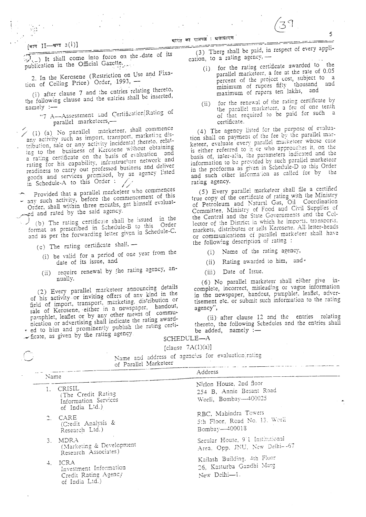\_\_\_\_<del>\_\_</del>\_\_

#### (भाग II- खण्ड  $3(i)$ ]

It shall come into force on the date of its publication in the Official Gazette.

--. <del>----</del>-

2. In the Kerosene (Restriction on Use and Fixation of Ceiling Price) Order, 1993, -

(i) after clause 7 and the cntries relating thereto, the following clause and the entries shall be inserted,  $p$  namely :-

"7 A-Assessment and Certification Rating of parallel marketeers,-

(1) (a) No parallel marketeer, shall commence any activity such as import, transport, marketing distribution, sale or any activity incidental thereto, relating to the business of Kerosene without obtaining a rating certificate on the basis of evaluation and rating for his capability, infrastructure network and readiness to carry out professed business and deliver goods and services promised, by an agency listed in Schedule-A to this Order:

Provided that a parallel marketeer who commences<br>
– any such activity, before the commencement of this Order, shall within three months, get himself evaluated and rated by the said agency.

(b) The rating certificate shall be issued in the format as prescribed in Schedule-B to this Order and as per the forwarding letter given in Schedule-C.

(c) The rating certificate shall, --

- (i) be valid for a period of one year from the date of its issue, and
- require renewal by the rating agency, an- $(ii)$ nually.

(2) Every parallel marketeer announcing details of his activity or inviting offers of any kind in the field of import, transport, marketing, distribution or sale of Kerosene, either in a newspaper, handout, nication or advertising shall indicate the rating award-- ed to him and prominently publish the rating certi-

Ficate, as given by the rating agency

Investment Information Credit Rating Agency

of India Ltd.)

(3) There shall be paid, in respect of every application, to a rating agency, -

for the rating certificate awarded to the  $(i)$ . parallel marketeer, a fee at the rate of 0.05 percent of the project cost, subject to a minimum of rupees fifty thousand and maximum of rupees ten lakhs, and

5

for the renewal of the rating certificate by  $(ii)$ the parallel marketeer, a fee of one tenth of that required to be paid for such a certificate.

(4) The agency listed for the purpose of evaluation shall on payment of the fee by the parallel marketeer, evaluate every parallel marketeer whose case is either referred to it or who approaches it, on the basis of, inter-alia, the parameters indicated and the information to be provided by such parallel marketeer in the proforma as given in Schedule-D to this Order and such other information as called for by the rating agency.

(5) Every parallel marketeer shall file a certified true copy of the certificate of rating with the Ministry of Petroleum and Natural Gas, Oil Coordination Committee, Ministry of Food and Civil Supplies of<br>the Central and the State Governments and the Collector of the District in which he imports, transports, markets, distributes or sells Kerosene. All letter-heads or communications of parallel marketeer shall have the following description of rating :

(i) Name of the rating agency,

Rating awarded to him, and - $(ii)$ 

Date of Issue.  $(iii)$ 

(6) No parallel marketeer shall either give incomplete, incorrect, misleading or vague information in the newspaper, handout, pamphlet, leaflet, advertisement etc. or submit such information to the rating agency",

(ii) after clause 12 and the entries relating thereto, the following Schedules and the entries shall be added, namely :-

#### SCHEDULE-A

[clause  $7A(1)(a)$ ]

| تستيدا | Name and address of agencies for evaluation rating<br>of Parallel Marketeer  |                                                                             |
|--------|------------------------------------------------------------------------------|-----------------------------------------------------------------------------|
|        | Name                                                                         | Address                                                                     |
|        | CRISIL<br>1.<br>(The Credit Rating<br>Information Services<br>of India Ltd.) | Nirlon House, 2nd floor<br>254 B, Annie Besant Road<br>Worli, Bombay-400025 |
|        | <b>CARE</b><br>$\mathbb{C}$ .<br>(Credit Analysis &<br>Research Ltd.)        | RBC, Mahindra Towers<br>5th Floor, Read No. 13. Werli<br>Bombay-400013      |
|        | MDRA<br>$3_{-}$<br>(Marketing & Development<br>Research Associates)          | Secular House, 9/1 Institutional<br>Area, Opp. JNU, New Delhi--67           |
|        | ICRA<br>$\ddot{+}$ .<br>Investment Information                               | Kailash Building, 4th Floor<br>26, Kasturba Gandhi Marg                     |

New Delhi-1.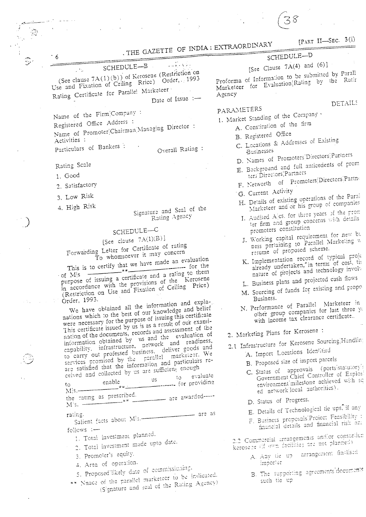. THE GAZETTE OF INDIA: EXTRAORDINARY

SCHEDULE-B ∫h. (See clause 7A(1)(b)) of Kerosene (Restriction on Use and Fixation of Ceiling Rrice) Order, 1993

Rating Certificate for Paralle! Marketeer

Date of Issue :-

Name of the Firm Company: Registered Office Address: Name of Promoter Chairman Managing Director: Activities :

Particulars of Bankers: Overall Rating:

Rating Scale

1. Good

6

2. Satisfactory

3. Low Risk

4. High Risk

Signature and Seal of the Rating Agency

## SCHEDULE-C

# [See clause  $7A(1)(B)$ ]

Forwarding Letter for Certificate of rating To whomsoever it may concern

This is to certify that we have made an evaluation purpose of issuing a certificate and a rating to them  $-$  of  $|M|s$ in accordance with the provisions of the Kerosene (Restriction on Use and Fixation of Ceiling Price)

Order, 1993. We have obtained all the information and explanations which to the best of our knowledge and belief were necessary for the purpose of issuing this certificate This certificate issued by us is as a result of our examination of the documents, records and assessment of the information obtained by us and the evaluation of capability, infrastructure, network and readiness, to carry out professed business. deliver goods and services promised by the parallel marketeer. We are satisfied that the information and particulars received and collected by us are sufficient enough evaluate **US** ----- for providing enable  $t_{\Omega}$ 

 $M$  s  $$ the rating as prescribed. ---- are awarded----- $M$ <sup>1</sup>s. -

Salient facts about M<sup>1</sup>s. are as rating.

follows :-

- 1. Total investment planned.
- 2. Total investment made upto date.
- 3. Promoter's equity.
- 4. Area of operation.
- 5. Proposed likely date of commissioning.
- \*\* Nnace of the parallel marketeer to be indicated. (Signature and seal of the Rating Agency)

[PART II-SEC. 3(i)

**DETAILS** 

## SCHEDULE-D

# [See Clause  $7A(4)$  and  $(6)$ ]

Proforma of Information to be submitted by Parall Marketeer for Evaluation Rating by the Ratin Agency

### PARAMETERS

- 1. Market Standing of the Company
- A. Constitution of the firm
	- B. Registered Office
	- C. Locations & Addresses of Existing Businesses
	- D. Names of Promoters Directors Partners
	- E. Background and full anticedents of prom
	-
	-
	- Marketeer and or his group of companies
	- I. Audited Alcs, for three years of the prom ter firm and group concerns with details promoters constitution
	- J. Working capital requirement for new by ness pertaining to Parallel Marketing w resume of proposed scheme.
	- K. Implementation record of typical proje already undertaken, in terms of cost, til nature of projects and technology involve
	- L. Business plans and projected cash flows
	- M. Sourcing of funds for existing and propo Business.
	- N. Performance of Parallel Marketeer in other group companies for last three ye with income tax clearance certificate..
	- 2. Marketing Plans for Kerosene:
	- 2.1 Infrastructure for Kerosene Sourcing Handlin
		- -
			- (portsistatutory) C. Status of approvals Government Chief Controller of Explosi environment milestone achieved with sq ed network local authorities).
			- D. Status of Progress.
			- E. Details of Technological tie ups, if any
			- F. Business proposals Project Feasibility : financial details and financial risk and

2.2 Commercial arrangements andlor consortium kerosene (if own facilities are not planned)

- A. Any tie up arrangement finalised importer
- B. The supporting agreements'documents such tie up

A. Import Locations Identified

B. Proposed size of import parcels

- ters' Directors Partners F. Networth of Promoters Directors Partne
- G. Current Activity
- H. Details of existing operations of the Paral